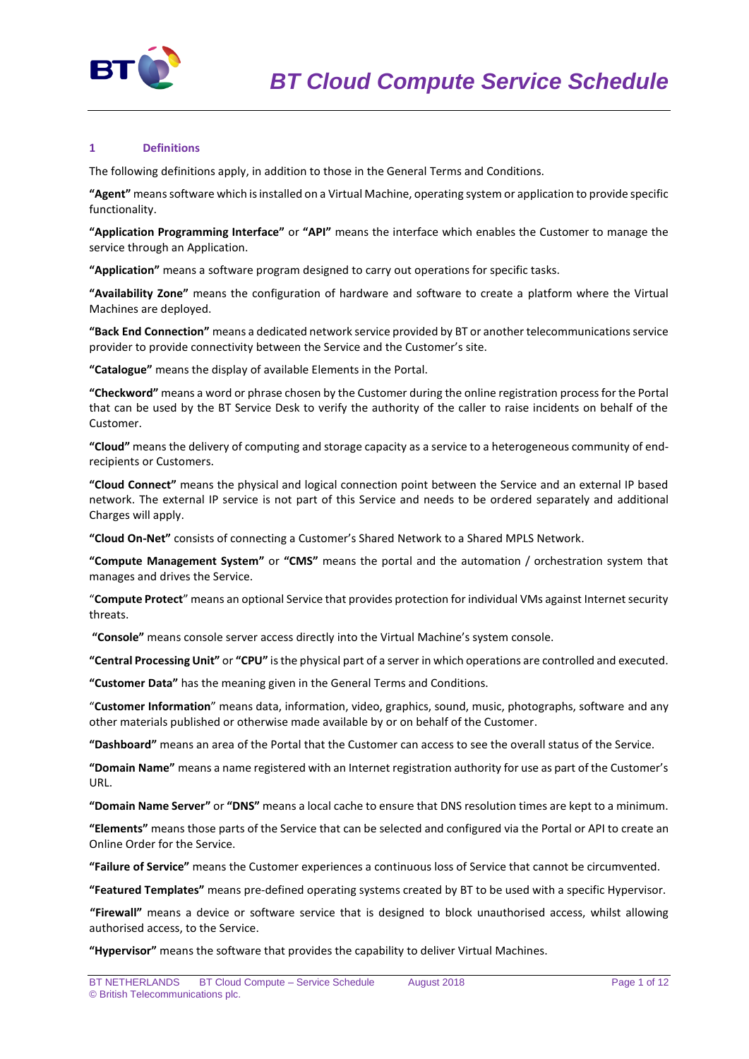

## **1 Definitions**

The following definitions apply, in addition to those in the General Terms and Conditions.

**"Agent"** means software which is installed on a Virtual Machine, operating system or application to provide specific functionality.

**"Application Programming Interface"** or **"API"** means the interface which enables the Customer to manage the service through an Application.

**"Application"** means a software program designed to carry out operations for specific tasks.

**"Availability Zone"** means the configuration of hardware and software to create a platform where the Virtual Machines are deployed.

**"Back End Connection"** means a dedicated network service provided by BT or another telecommunications service provider to provide connectivity between the Service and the Customer's site.

**"Catalogue"** means the display of available Elements in the Portal.

**"Checkword"** means a word or phrase chosen by the Customer during the online registration process for the Portal that can be used by the BT Service Desk to verify the authority of the caller to raise incidents on behalf of the Customer.

**"Cloud"** means the delivery of computing and storage capacity as a service to a heterogeneous community of endrecipients or Customers.

**"Cloud Connect"** means the physical and logical connection point between the Service and an external IP based network. The external IP service is not part of this Service and needs to be ordered separately and additional Charges will apply.

**"Cloud On-Net"** consists of connecting a Customer's Shared Network to a Shared MPLS Network.

**"Compute Management System"** or **"CMS"** means the portal and the automation / orchestration system that manages and drives the Service.

"**Compute Protect**" means an optional Service that provides protection for individual VMs against Internet security threats.

**"Console"** means console server access directly into the Virtual Machine's system console.

**"Central Processing Unit"** or **"CPU"** is the physical part of a server in which operations are controlled and executed.

**"Customer Data"** has the meaning given in the General Terms and Conditions.

"**Customer Information**" means data, information, video, graphics, sound, music, photographs, software and any other materials published or otherwise made available by or on behalf of the Customer.

**"Dashboard"** means an area of the Portal that the Customer can access to see the overall status of the Service.

**"Domain Name"** means a name registered with an Internet registration authority for use as part of the Customer's URL.

**"Domain Name Server"** or **"DNS"** means a local cache to ensure that DNS resolution times are kept to a minimum.

**"Elements"** means those parts of the Service that can be selected and configured via the Portal or API to create an Online Order for the Service.

**"Failure of Service"** means the Customer experiences a continuous loss of Service that cannot be circumvented.

**"Featured Templates"** means pre-defined operating systems created by BT to be used with a specific Hypervisor.

**"Firewall"** means a device or software service that is designed to block unauthorised access, whilst allowing authorised access, to the Service.

**"Hypervisor"** means the software that provides the capability to deliver Virtual Machines.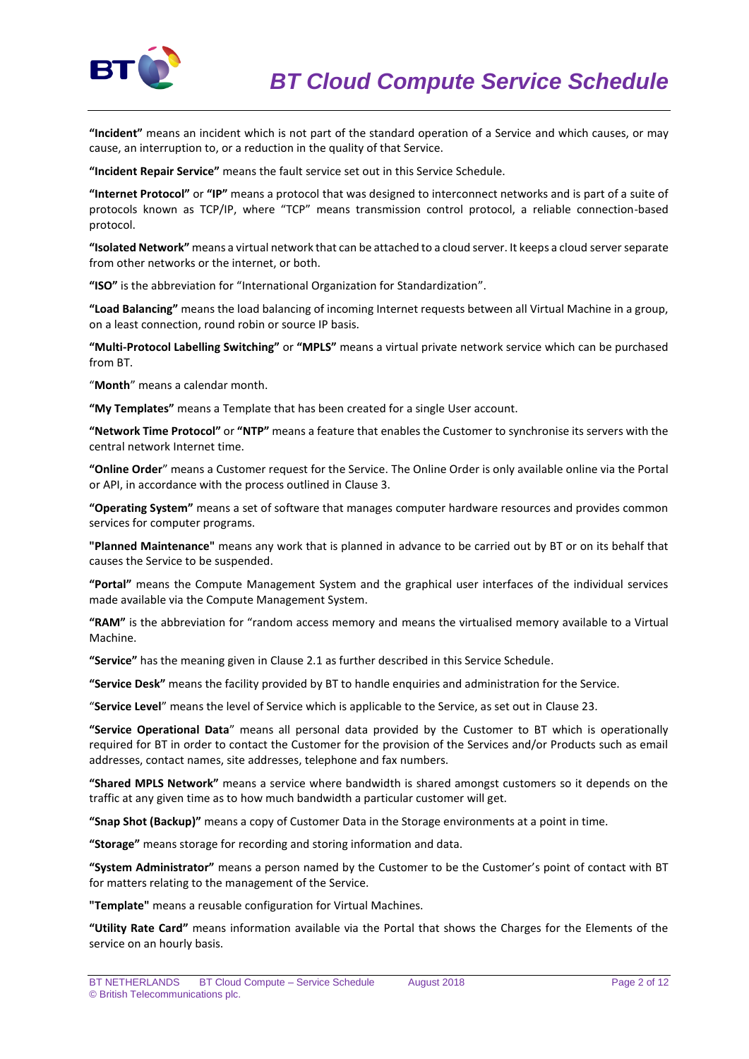

**"Incident"** means an incident which is not part of the standard operation of a Service and which causes, or may cause, an interruption to, or a reduction in the quality of that Service.

**"Incident Repair Service"** means the fault service set out in this Service Schedule.

**"Internet Protocol"** or **"IP"** means a protocol that was designed to interconnect networks and is part of a suite of protocols known as TCP/IP, where "TCP" means transmission control protocol, a reliable connection-based protocol.

**"Isolated Network"** means a virtual network that can be attached to a cloud server. It keeps a cloud server separate from other networks or the internet, or both.

**"ISO"** is the abbreviation for "International Organization for Standardization".

**"Load Balancing"** means the load balancing of incoming Internet requests between all Virtual Machine in a group, on a least connection, round robin or source IP basis.

**"Multi-Protocol Labelling Switching"** or **"MPLS"** means a virtual private network service which can be purchased from BT.

"**Month**" means a calendar month.

**"My Templates"** means a Template that has been created for a single User account.

**"Network Time Protocol"** or **"NTP"** means a feature that enables the Customer to synchronise its servers with the central network Internet time.

**"Online Order**" means a Customer request for the Service. The Online Order is only available online via the Portal or API, in accordance with the process outlined in Clause 3.

**"Operating System"** means a set of software that manages computer hardware resources and provides common services for computer programs.

**"Planned Maintenance"** means any work that is planned in advance to be carried out by BT or on its behalf that causes the Service to be suspended.

**"Portal"** means the Compute Management System and the graphical user interfaces of the individual services made available via the Compute Management System.

**"RAM"** is the abbreviation for "random access memory and means the virtualised memory available to a Virtual Machine.

**"Service"** has the meaning given in Clause 2.1 as further described in this Service Schedule.

**"Service Desk"** means the facility provided by BT to handle enquiries and administration for the Service.

"**Service Level**" means the level of Service which is applicable to the Service, as set out in Clause 23.

**"Service Operational Data**" means all personal data provided by the Customer to BT which is operationally required for BT in order to contact the Customer for the provision of the Services and/or Products such as email addresses, contact names, site addresses, telephone and fax numbers.

**"Shared MPLS Network"** means a service where bandwidth is shared amongst customers so it depends on the traffic at any given time as to how much bandwidth a particular customer will get.

**"Snap Shot (Backup)"** means a copy of Customer Data in the Storage environments at a point in time.

**"Storage"** means storage for recording and storing information and data.

**"System Administrator"** means a person named by the Customer to be the Customer's point of contact with BT for matters relating to the management of the Service.

**"Template"** means a reusable configuration for Virtual Machines.

**"Utility Rate Card"** means information available via the Portal that shows the Charges for the Elements of the service on an hourly basis.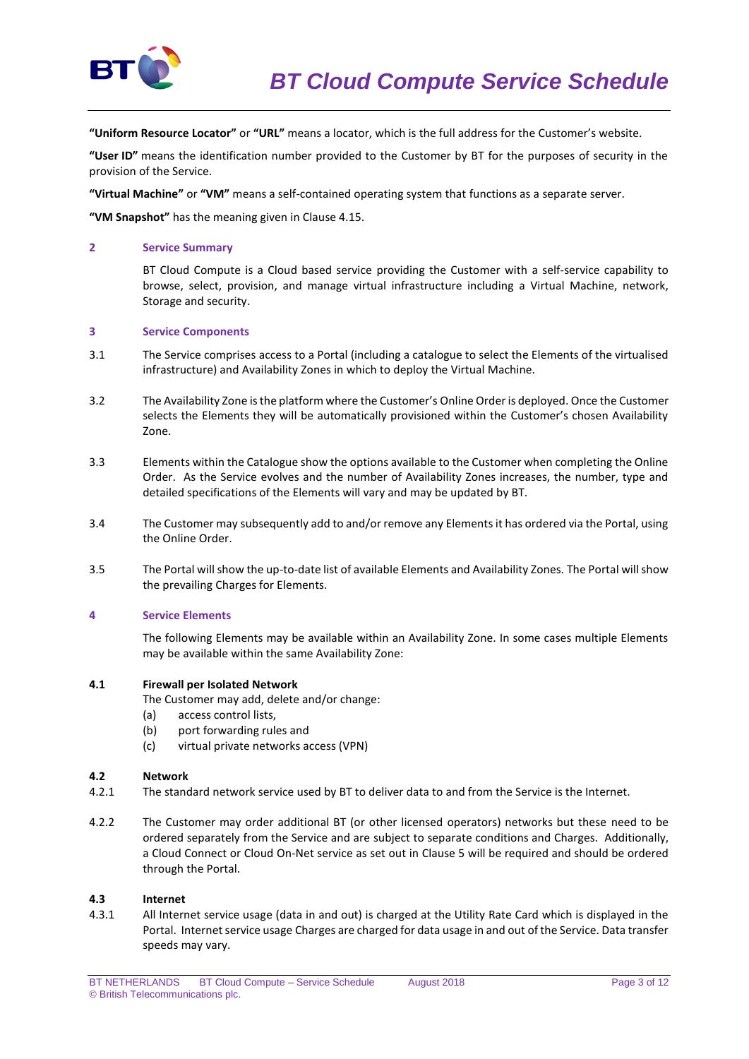

**"Uniform Resource Locator"** or **"URL"** means a locator, which is the full address for the Customer's website.

**"User ID"** means the identification number provided to the Customer by BT for the purposes of security in the provision of the Service.

**"Virtual Machine"** or **"VM"** means a self-contained operating system that functions as a separate server.

**"VM Snapshot"** has the meaning given in Clause 4.15.

### **2 Service Summary**

BT Cloud Compute is a Cloud based service providing the Customer with a self-service capability to browse, select, provision, and manage virtual infrastructure including a Virtual Machine, network, Storage and security.

#### **3 Service Components**

- 3.1 The Service comprises access to a Portal (including a catalogue to select the Elements of the virtualised infrastructure) and Availability Zones in which to deploy the Virtual Machine.
- 3.2 The Availability Zone is the platform where the Customer's Online Order is deployed. Once the Customer selects the Elements they will be automatically provisioned within the Customer's chosen Availability Zone.
- 3.3 Elements within the Catalogue show the options available to the Customer when completing the Online Order. As the Service evolves and the number of Availability Zones increases, the number, type and detailed specifications of the Elements will vary and may be updated by BT.
- 3.4 The Customer may subsequently add to and/or remove any Elements it has ordered via the Portal, using the Online Order.
- 3.5 The Portal will show the up-to-date list of available Elements and Availability Zones. The Portal will show the prevailing Charges for Elements.

#### **4 Service Elements**

The following Elements may be available within an Availability Zone. In some cases multiple Elements may be available within the same Availability Zone:

#### **4.1 Firewall per Isolated Network**

- The Customer may add, delete and/or change:
- (a) access control lists,
- (b) port forwarding rules and
- (c) virtual private networks access (VPN)

## **4.2 Network**

- 4.2.1 The standard network service used by BT to deliver data to and from the Service is the Internet.
- 4.2.2 The Customer may order additional BT (or other licensed operators) networks but these need to be ordered separately from the Service and are subject to separate conditions and Charges. Additionally, a Cloud Connect or Cloud On-Net service as set out in Clause 5 will be required and should be ordered through the Portal.

#### **4.3 Internet**

4.3.1 All Internet service usage (data in and out) is charged at the Utility Rate Card which is displayed in the Portal. Internet service usage Charges are charged for data usage in and out of the Service. Data transfer speeds may vary.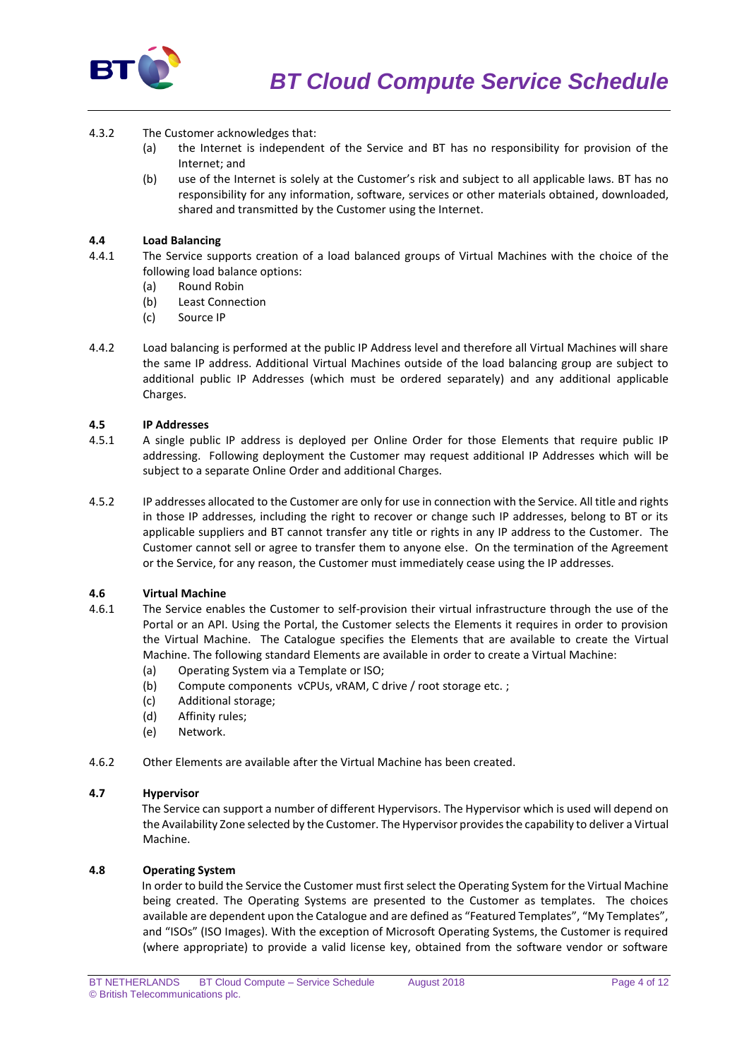

- 4.3.2 The Customer acknowledges that:
	- (a) the Internet is independent of the Service and BT has no responsibility for provision of the Internet; and
	- (b) use of the Internet is solely at the Customer's risk and subject to all applicable laws. BT has no responsibility for any information, software, services or other materials obtained, downloaded, shared and transmitted by the Customer using the Internet.

# **4.4 Load Balancing**

- 4.4.1 The Service supports creation of a load balanced groups of Virtual Machines with the choice of the following load balance options:
	- (a) Round Robin
	- (b) Least Connection
	- (c) Source IP
- 4.4.2 Load balancing is performed at the public IP Address level and therefore all Virtual Machines will share the same IP address. Additional Virtual Machines outside of the load balancing group are subject to additional public IP Addresses (which must be ordered separately) and any additional applicable Charges.

## **4.5 IP Addresses**

- 4.5.1 A single public IP address is deployed per Online Order for those Elements that require public IP addressing. Following deployment the Customer may request additional IP Addresses which will be subject to a separate Online Order and additional Charges.
- 4.5.2 IP addresses allocated to the Customer are only for use in connection with the Service. All title and rights in those IP addresses, including the right to recover or change such IP addresses, belong to BT or its applicable suppliers and BT cannot transfer any title or rights in any IP address to the Customer. The Customer cannot sell or agree to transfer them to anyone else. On the termination of the Agreement or the Service, for any reason, the Customer must immediately cease using the IP addresses.

## **4.6 Virtual Machine**

- 4.6.1 The Service enables the Customer to self-provision their virtual infrastructure through the use of the Portal or an API. Using the Portal, the Customer selects the Elements it requires in order to provision the Virtual Machine. The Catalogue specifies the Elements that are available to create the Virtual Machine. The following standard Elements are available in order to create a Virtual Machine:
	- (a) Operating System via a Template or ISO;
	- (b) Compute components vCPUs, vRAM, C drive / root storage etc. ;
	- (c) Additional storage;
	- (d) Affinity rules;
	- (e) Network.
- 4.6.2 Other Elements are available after the Virtual Machine has been created.

#### **4.7 Hypervisor**

The Service can support a number of different Hypervisors. The Hypervisor which is used will depend on the Availability Zone selected by the Customer. The Hypervisor provides the capability to deliver a Virtual Machine.

### **4.8 Operating System**

In order to build the Service the Customer must first select the Operating System for the Virtual Machine being created. The Operating Systems are presented to the Customer as templates. The choices available are dependent upon the Catalogue and are defined as "Featured Templates", "My Templates", and "ISOs" (ISO Images). With the exception of Microsoft Operating Systems, the Customer is required (where appropriate) to provide a valid license key, obtained from the software vendor or software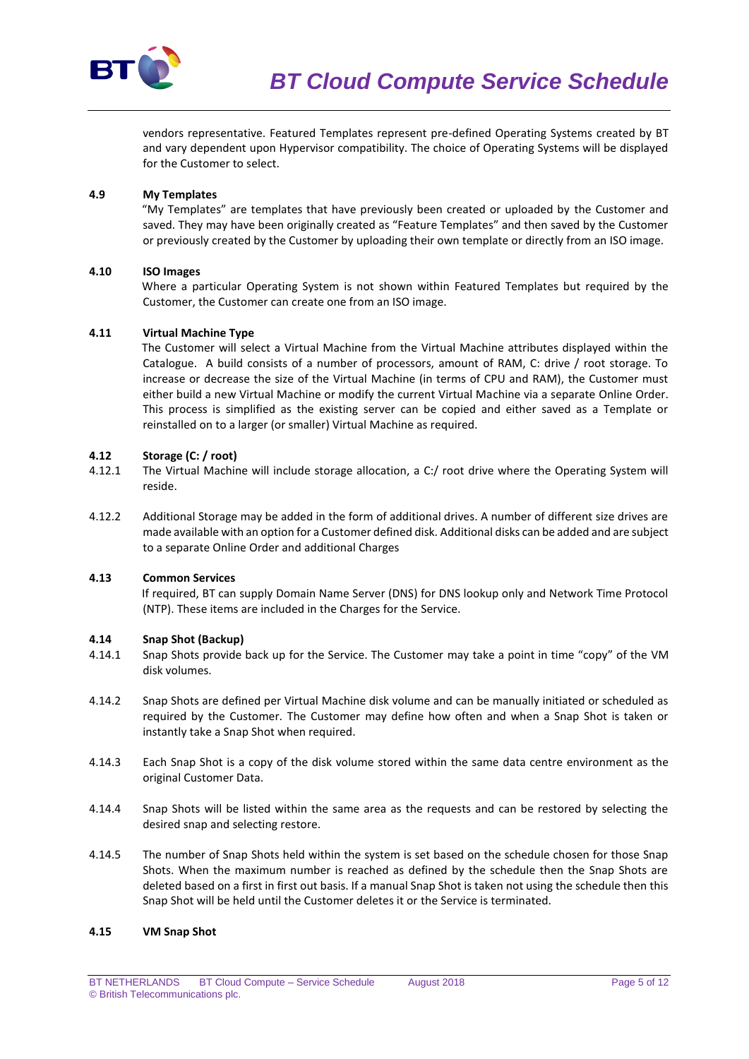

vendors representative. Featured Templates represent pre-defined Operating Systems created by BT and vary dependent upon Hypervisor compatibility. The choice of Operating Systems will be displayed for the Customer to select.

# **4.9 My Templates**

"My Templates" are templates that have previously been created or uploaded by the Customer and saved. They may have been originally created as "Feature Templates" and then saved by the Customer or previously created by the Customer by uploading their own template or directly from an ISO image.

## **4.10 ISO Images**

Where a particular Operating System is not shown within Featured Templates but required by the Customer, the Customer can create one from an ISO image.

## **4.11 Virtual Machine Type**

The Customer will select a Virtual Machine from the Virtual Machine attributes displayed within the Catalogue. A build consists of a number of processors, amount of RAM, C: drive / root storage. To increase or decrease the size of the Virtual Machine (in terms of CPU and RAM), the Customer must either build a new Virtual Machine or modify the current Virtual Machine via a separate Online Order. This process is simplified as the existing server can be copied and either saved as a Template or reinstalled on to a larger (or smaller) Virtual Machine as required.

## **4.12 Storage (C: / root)**

- 4.12.1 The Virtual Machine will include storage allocation, a C:/ root drive where the Operating System will reside.
- 4.12.2 Additional Storage may be added in the form of additional drives. A number of different size drives are made available with an option for a Customer defined disk. Additional disks can be added and are subject to a separate Online Order and additional Charges

## **4.13 Common Services**

If required, BT can supply Domain Name Server (DNS) for DNS lookup only and Network Time Protocol (NTP). These items are included in the Charges for the Service.

## **4.14 Snap Shot (Backup)**

- 4.14.1 Snap Shots provide back up for the Service. The Customer may take a point in time "copy" of the VM disk volumes.
- 4.14.2 Snap Shots are defined per Virtual Machine disk volume and can be manually initiated or scheduled as required by the Customer. The Customer may define how often and when a Snap Shot is taken or instantly take a Snap Shot when required.
- 4.14.3 Each Snap Shot is a copy of the disk volume stored within the same data centre environment as the original Customer Data.
- 4.14.4 Snap Shots will be listed within the same area as the requests and can be restored by selecting the desired snap and selecting restore.
- 4.14.5 The number of Snap Shots held within the system is set based on the schedule chosen for those Snap Shots. When the maximum number is reached as defined by the schedule then the Snap Shots are deleted based on a first in first out basis. If a manual Snap Shot is taken not using the schedule then this Snap Shot will be held until the Customer deletes it or the Service is terminated.

## **4.15 VM Snap Shot**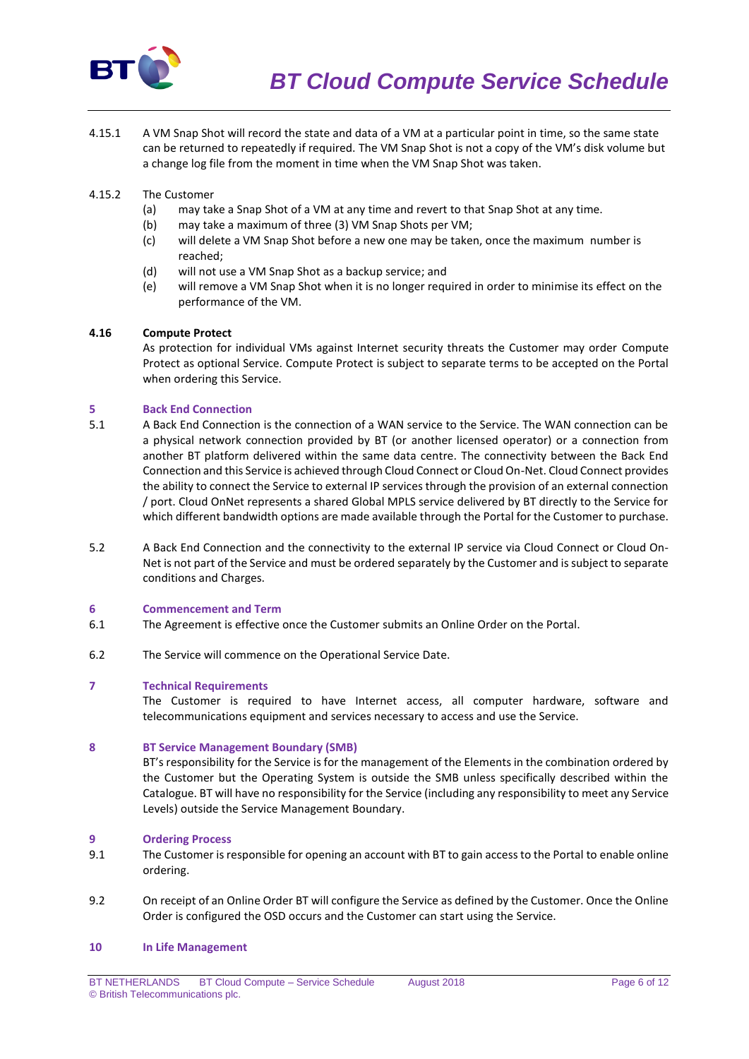

4.15.1 A VM Snap Shot will record the state and data of a VM at a particular point in time, so the same state can be returned to repeatedly if required. The VM Snap Shot is not a copy of the VM's disk volume but a change log file from the moment in time when the VM Snap Shot was taken.

## 4.15.2 The Customer

- (a) may take a Snap Shot of a VM at any time and revert to that Snap Shot at any time.
- (b) may take a maximum of three (3) VM Snap Shots per VM;
- (c) will delete a VM Snap Shot before a new one may be taken, once the maximum number is reached;
- (d) will not use a VM Snap Shot as a backup service; and
- (e) will remove a VM Snap Shot when it is no longer required in order to minimise its effect on the performance of the VM.

## **4.16 Compute Protect**

As protection for individual VMs against Internet security threats the Customer may order Compute Protect as optional Service. Compute Protect is subject to separate terms to be accepted on the Portal when ordering this Service.

## **5 Back End Connection**

- 5.1 A Back End Connection is the connection of a WAN service to the Service. The WAN connection can be a physical network connection provided by BT (or another licensed operator) or a connection from another BT platform delivered within the same data centre. The connectivity between the Back End Connection and this Service is achieved through Cloud Connect or Cloud On-Net. Cloud Connect provides the ability to connect the Service to external IP services through the provision of an external connection / port. Cloud OnNet represents a shared Global MPLS service delivered by BT directly to the Service for which different bandwidth options are made available through the Portal for the Customer to purchase.
- 5.2 A Back End Connection and the connectivity to the external IP service via Cloud Connect or Cloud On-Net is not part of the Service and must be ordered separately by the Customer and is subject to separate conditions and Charges.

#### **6 Commencement and Term**

- 6.1 The Agreement is effective once the Customer submits an Online Order on the Portal.
- 6.2 The Service will commence on the Operational Service Date.

## **7 Technical Requirements**

The Customer is required to have Internet access, all computer hardware, software and telecommunications equipment and services necessary to access and use the Service.

#### **8 BT Service Management Boundary (SMB)**

BT's responsibility for the Service is for the management of the Elements in the combination ordered by the Customer but the Operating System is outside the SMB unless specifically described within the Catalogue. BT will have no responsibility for the Service (including any responsibility to meet any Service Levels) outside the Service Management Boundary.

#### **9 Ordering Process**

- 9.1 The Customer is responsible for opening an account with BT to gain access to the Portal to enable online ordering.
- 9.2 On receipt of an Online Order BT will configure the Service as defined by the Customer. Once the Online Order is configured the OSD occurs and the Customer can start using the Service.

#### **10 In Life Management**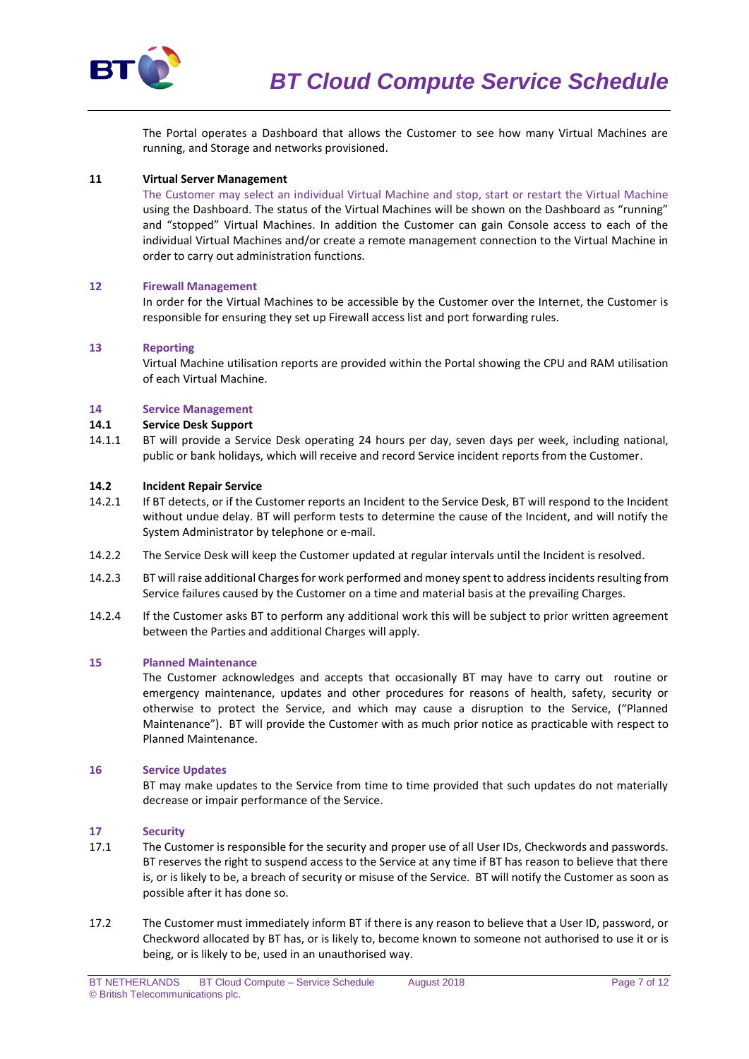

The Portal operates a Dashboard that allows the Customer to see how many Virtual Machines are running, and Storage and networks provisioned.

### **11 Virtual Server Management**

The Customer may select an individual Virtual Machine and stop, start or restart the Virtual Machine using the Dashboard. The status of the Virtual Machines will be shown on the Dashboard as "running" and "stopped" Virtual Machines. In addition the Customer can gain Console access to each of the individual Virtual Machines and/or create a remote management connection to the Virtual Machine in order to carry out administration functions.

## **12 Firewall Management**

In order for the Virtual Machines to be accessible by the Customer over the Internet, the Customer is responsible for ensuring they set up Firewall access list and port forwarding rules.

## **13 Reporting**

Virtual Machine utilisation reports are provided within the Portal showing the CPU and RAM utilisation of each Virtual Machine.

## **14 Service Management**

## **14.1 Service Desk Support**

14.1.1 BT will provide a Service Desk operating 24 hours per day, seven days per week, including national, public or bank holidays, which will receive and record Service incident reports from the Customer.

#### **14.2 Incident Repair Service**

- 14.2.1 If BT detects, or if the Customer reports an Incident to the Service Desk, BT will respond to the Incident without undue delay. BT will perform tests to determine the cause of the Incident, and will notify the System Administrator by telephone or e-mail.
- 14.2.2 The Service Desk will keep the Customer updated at regular intervals until the Incident is resolved.
- 14.2.3 BT will raise additional Charges for work performed and money spent to addressincidents resulting from Service failures caused by the Customer on a time and material basis at the prevailing Charges.
- 14.2.4 If the Customer asks BT to perform any additional work this will be subject to prior written agreement between the Parties and additional Charges will apply.

#### **15 Planned Maintenance**

The Customer acknowledges and accepts that occasionally BT may have to carry out routine or emergency maintenance, updates and other procedures for reasons of health, safety, security or otherwise to protect the Service, and which may cause a disruption to the Service, ("Planned Maintenance"). BT will provide the Customer with as much prior notice as practicable with respect to Planned Maintenance.

#### **16 Service Updates**

BT may make updates to the Service from time to time provided that such updates do not materially decrease or impair performance of the Service.

#### **17 Security**

- 17.1 The Customer is responsible for the security and proper use of all User IDs, Checkwords and passwords. BT reserves the right to suspend access to the Service at any time if BT has reason to believe that there is, or is likely to be, a breach of security or misuse of the Service. BT will notify the Customer as soon as possible after it has done so.
- 17.2 The Customer must immediately inform BT if there is any reason to believe that a User ID, password, or Checkword allocated by BT has, or is likely to, become known to someone not authorised to use it or is being, or is likely to be, used in an unauthorised way.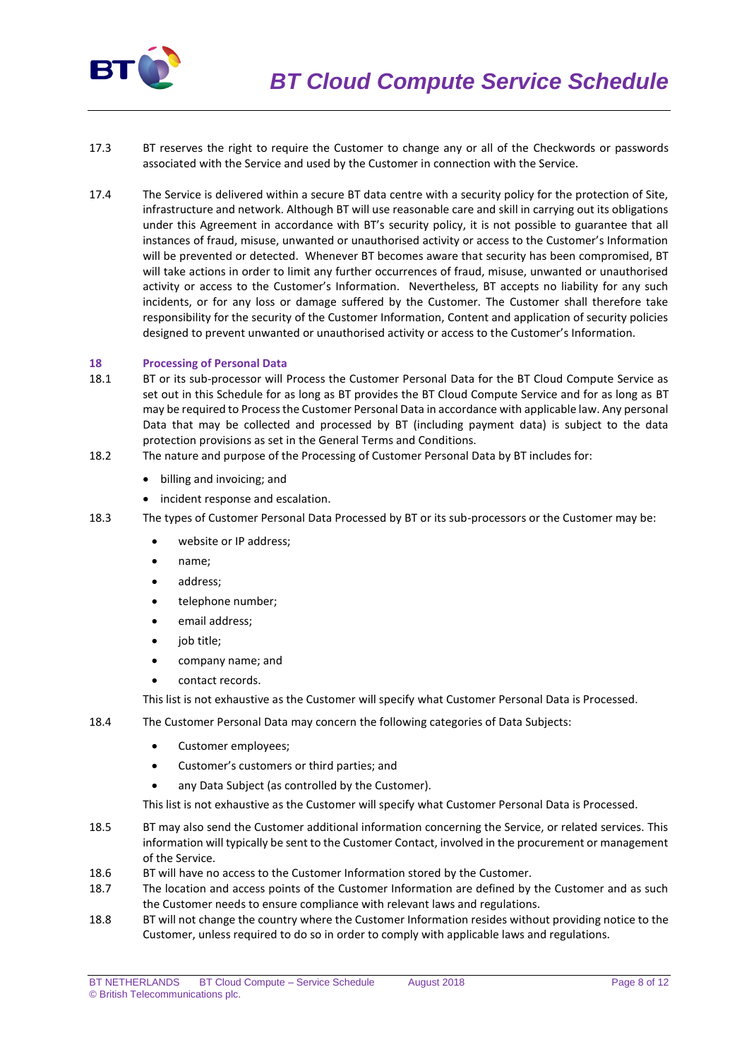

- 17.3 BT reserves the right to require the Customer to change any or all of the Checkwords or passwords associated with the Service and used by the Customer in connection with the Service.
- 17.4 The Service is delivered within a secure BT data centre with a security policy for the protection of Site, infrastructure and network. Although BT will use reasonable care and skill in carrying out its obligations under this Agreement in accordance with BT's security policy, it is not possible to guarantee that all instances of fraud, misuse, unwanted or unauthorised activity or access to the Customer's Information will be prevented or detected. Whenever BT becomes aware that security has been compromised, BT will take actions in order to limit any further occurrences of fraud, misuse, unwanted or unauthorised activity or access to the Customer's Information. Nevertheless, BT accepts no liability for any such incidents, or for any loss or damage suffered by the Customer. The Customer shall therefore take responsibility for the security of the Customer Information, Content and application of security policies designed to prevent unwanted or unauthorised activity or access to the Customer's Information.

## **18 Processing of Personal Data**

- 18.1 BT or its sub-processor will Process the Customer Personal Data for the BT Cloud Compute Service as set out in this Schedule for as long as BT provides the BT Cloud Compute Service and for as long as BT may be required to Process the Customer Personal Data in accordance with applicable law. Any personal Data that may be collected and processed by BT (including payment data) is subject to the data protection provisions as set in the General Terms and Conditions.
- 18.2 The nature and purpose of the Processing of Customer Personal Data by BT includes for:
	- billing and invoicing; and
	- incident response and escalation.
- 18.3 The types of Customer Personal Data Processed by BT or its sub-processors or the Customer may be:
	- website or IP address;
	- name;
	- address;
	- telephone number;
	- email address;
	- job title;
	- company name; and
	- contact records.

This list is not exhaustive as the Customer will specify what Customer Personal Data is Processed.

- 18.4 The Customer Personal Data may concern the following categories of Data Subjects:
	- Customer employees:
	- Customer's customers or third parties; and
	- any Data Subject (as controlled by the Customer).

This list is not exhaustive as the Customer will specify what Customer Personal Data is Processed.

- 18.5 BT may also send the Customer additional information concerning the Service, or related services. This information will typically be sent to the Customer Contact, involved in the procurement or management of the Service.
- 18.6 BT will have no access to the Customer Information stored by the Customer.
- 18.7 The location and access points of the Customer Information are defined by the Customer and as such the Customer needs to ensure compliance with relevant laws and regulations.
- 18.8 BT will not change the country where the Customer Information resides without providing notice to the Customer, unless required to do so in order to comply with applicable laws and regulations.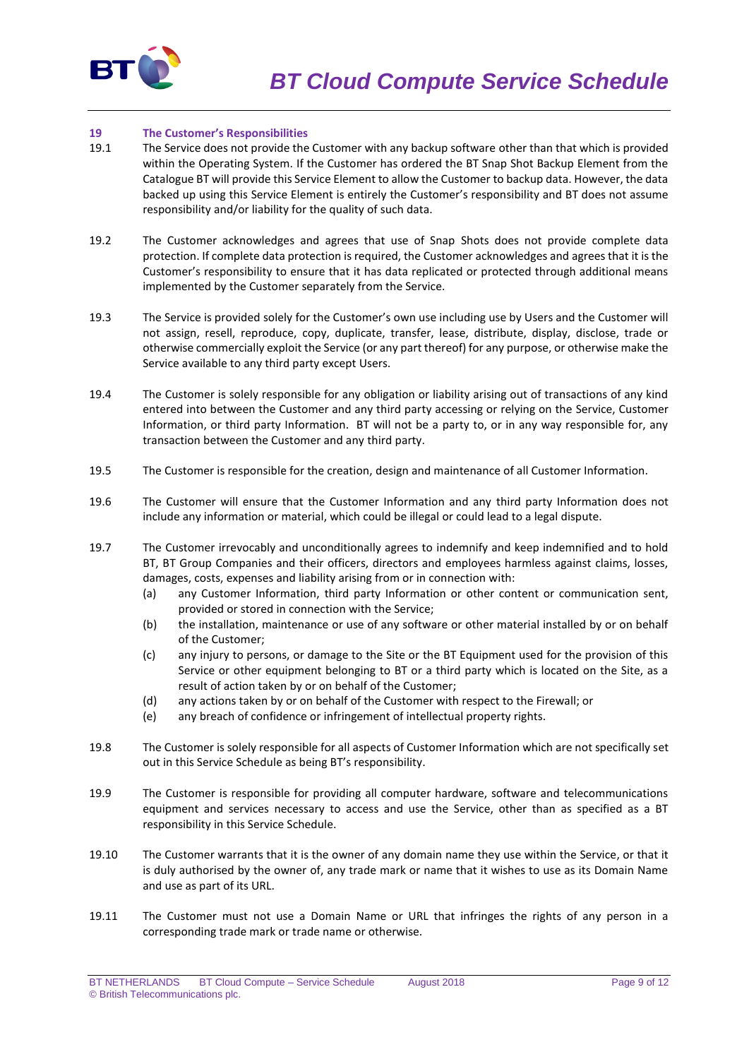

## **19 The Customer's Responsibilities**

- 19.1 The Service does not provide the Customer with any backup software other than that which is provided within the Operating System. If the Customer has ordered the BT Snap Shot Backup Element from the Catalogue BT will provide this Service Element to allow the Customer to backup data. However, the data backed up using this Service Element is entirely the Customer's responsibility and BT does not assume responsibility and/or liability for the quality of such data.
- 19.2 The Customer acknowledges and agrees that use of Snap Shots does not provide complete data protection. If complete data protection is required, the Customer acknowledges and agrees that it is the Customer's responsibility to ensure that it has data replicated or protected through additional means implemented by the Customer separately from the Service.
- 19.3 The Service is provided solely for the Customer's own use including use by Users and the Customer will not assign, resell, reproduce, copy, duplicate, transfer, lease, distribute, display, disclose, trade or otherwise commercially exploit the Service (or any part thereof) for any purpose, or otherwise make the Service available to any third party except Users.
- 19.4 The Customer is solely responsible for any obligation or liability arising out of transactions of any kind entered into between the Customer and any third party accessing or relying on the Service, Customer Information, or third party Information. BT will not be a party to, or in any way responsible for, any transaction between the Customer and any third party.
- 19.5 The Customer is responsible for the creation, design and maintenance of all Customer Information.
- 19.6 The Customer will ensure that the Customer Information and any third party Information does not include any information or material, which could be illegal or could lead to a legal dispute.
- 19.7 The Customer irrevocably and unconditionally agrees to indemnify and keep indemnified and to hold BT, BT Group Companies and their officers, directors and employees harmless against claims, losses, damages, costs, expenses and liability arising from or in connection with:
	- (a) any Customer Information, third party Information or other content or communication sent, provided or stored in connection with the Service;
	- (b) the installation, maintenance or use of any software or other material installed by or on behalf of the Customer;
	- (c) any injury to persons, or damage to the Site or the BT Equipment used for the provision of this Service or other equipment belonging to BT or a third party which is located on the Site, as a result of action taken by or on behalf of the Customer;
	- (d) any actions taken by or on behalf of the Customer with respect to the Firewall; or
	- (e) any breach of confidence or infringement of intellectual property rights.
- 19.8 The Customer is solely responsible for all aspects of Customer Information which are not specifically set out in this Service Schedule as being BT's responsibility.
- 19.9 The Customer is responsible for providing all computer hardware, software and telecommunications equipment and services necessary to access and use the Service, other than as specified as a BT responsibility in this Service Schedule.
- 19.10 The Customer warrants that it is the owner of any domain name they use within the Service, or that it is duly authorised by the owner of, any trade mark or name that it wishes to use as its Domain Name and use as part of its URL.
- 19.11 The Customer must not use a Domain Name or URL that infringes the rights of any person in a corresponding trade mark or trade name or otherwise.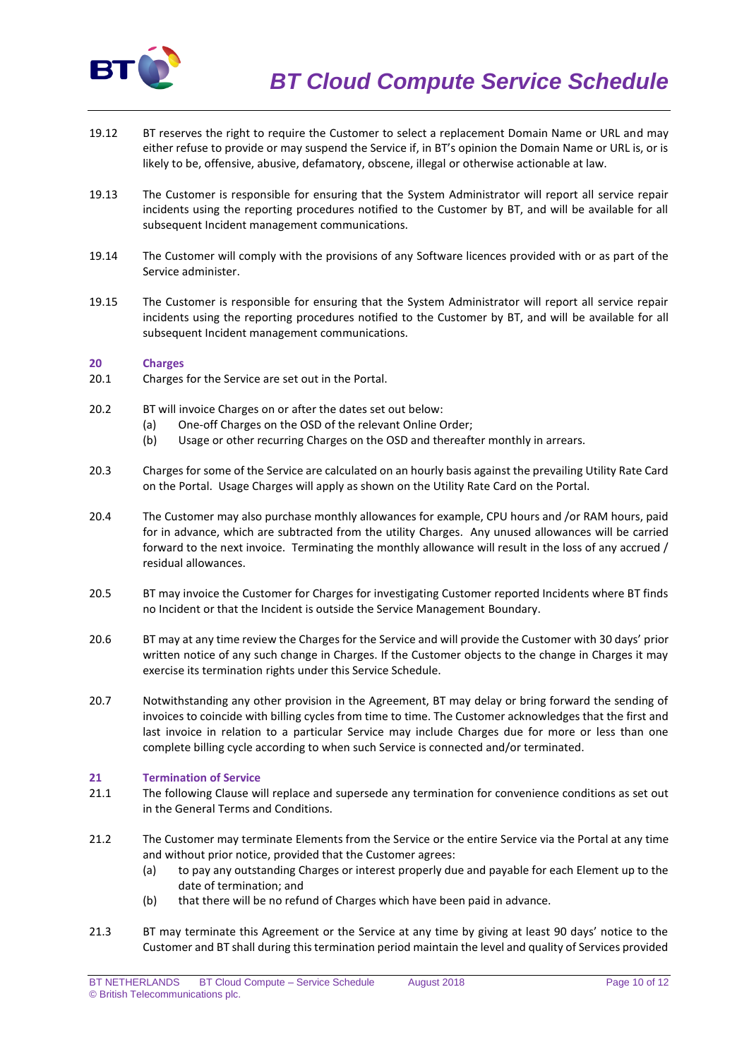

- 19.12 BT reserves the right to require the Customer to select a replacement Domain Name or URL and may either refuse to provide or may suspend the Service if, in BT's opinion the Domain Name or URL is, or is likely to be, offensive, abusive, defamatory, obscene, illegal or otherwise actionable at law.
- 19.13 The Customer is responsible for ensuring that the System Administrator will report all service repair incidents using the reporting procedures notified to the Customer by BT, and will be available for all subsequent Incident management communications.
- 19.14 The Customer will comply with the provisions of any Software licences provided with or as part of the Service administer.
- 19.15 The Customer is responsible for ensuring that the System Administrator will report all service repair incidents using the reporting procedures notified to the Customer by BT, and will be available for all subsequent Incident management communications.

## **20 Charges**

- 20.1 Charges for the Service are set out in the Portal.
- 20.2 BT will invoice Charges on or after the dates set out below:
	- (a) One-off Charges on the OSD of the relevant Online Order;
	- (b) Usage or other recurring Charges on the OSD and thereafter monthly in arrears.
- 20.3 Charges for some of the Service are calculated on an hourly basis against the prevailing Utility Rate Card on the Portal. Usage Charges will apply as shown on the Utility Rate Card on the Portal.
- 20.4 The Customer may also purchase monthly allowances for example, CPU hours and /or RAM hours, paid for in advance, which are subtracted from the utility Charges. Any unused allowances will be carried forward to the next invoice. Terminating the monthly allowance will result in the loss of any accrued / residual allowances.
- 20.5 BT may invoice the Customer for Charges for investigating Customer reported Incidents where BT finds no Incident or that the Incident is outside the Service Management Boundary.
- 20.6 BT may at any time review the Charges for the Service and will provide the Customer with 30 days' prior written notice of any such change in Charges. If the Customer objects to the change in Charges it may exercise its termination rights under this Service Schedule.
- 20.7 Notwithstanding any other provision in the Agreement, BT may delay or bring forward the sending of invoices to coincide with billing cycles from time to time. The Customer acknowledges that the first and last invoice in relation to a particular Service may include Charges due for more or less than one complete billing cycle according to when such Service is connected and/or terminated.

## **21 Termination of Service**

- 21.1 The following Clause will replace and supersede any termination for convenience conditions as set out in the General Terms and Conditions.
- 21.2 The Customer may terminate Elements from the Service or the entire Service via the Portal at any time and without prior notice, provided that the Customer agrees:
	- (a) to pay any outstanding Charges or interest properly due and payable for each Element up to the date of termination; and
	- (b) that there will be no refund of Charges which have been paid in advance.
- 21.3 BT may terminate this Agreement or the Service at any time by giving at least 90 days' notice to the Customer and BT shall during this termination period maintain the level and quality of Services provided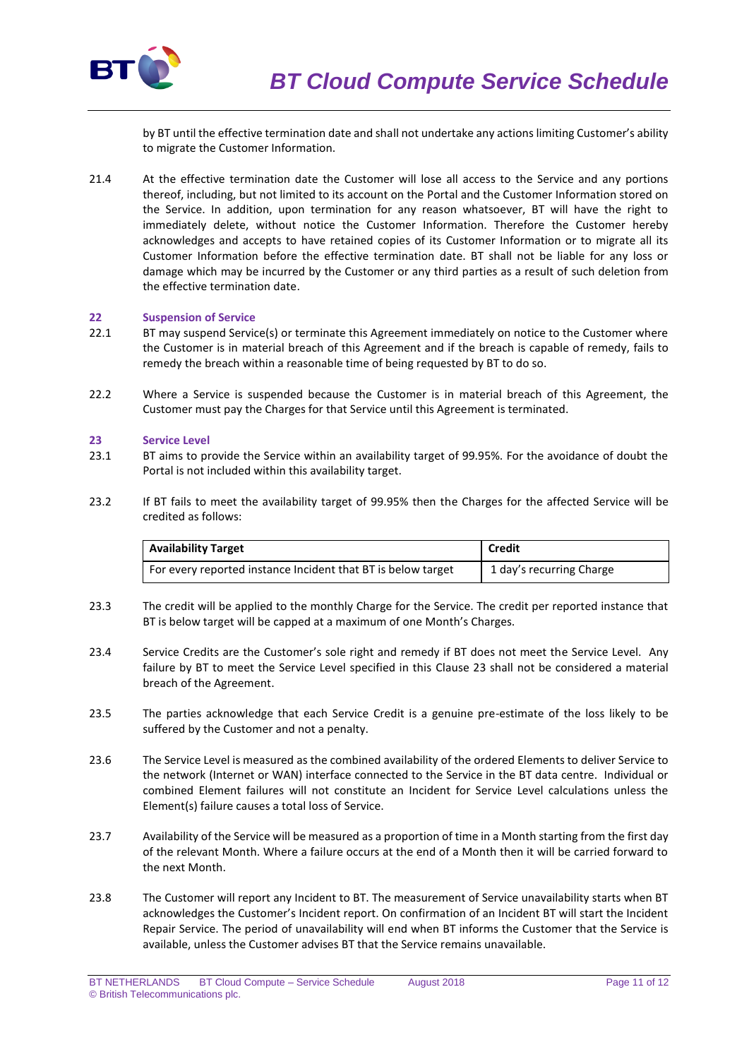

by BT until the effective termination date and shall not undertake any actions limiting Customer's ability to migrate the Customer Information.

21.4 At the effective termination date the Customer will lose all access to the Service and any portions thereof, including, but not limited to its account on the Portal and the Customer Information stored on the Service. In addition, upon termination for any reason whatsoever, BT will have the right to immediately delete, without notice the Customer Information. Therefore the Customer hereby acknowledges and accepts to have retained copies of its Customer Information or to migrate all its Customer Information before the effective termination date. BT shall not be liable for any loss or damage which may be incurred by the Customer or any third parties as a result of such deletion from the effective termination date.

## **22 Suspension of Service**

- 22.1 BT may suspend Service(s) or terminate this Agreement immediately on notice to the Customer where the Customer is in material breach of this Agreement and if the breach is capable of remedy, fails to remedy the breach within a reasonable time of being requested by BT to do so.
- 22.2 Where a Service is suspended because the Customer is in material breach of this Agreement, the Customer must pay the Charges for that Service until this Agreement is terminated.

## **23 Service Level**

- 23.1 BT aims to provide the Service within an availability target of 99.95%. For the avoidance of doubt the Portal is not included within this availability target.
- 23.2 If BT fails to meet the availability target of 99.95% then the Charges for the affected Service will be credited as follows:

| <b>Availability Target</b>                                   | <b>Credit</b>            |
|--------------------------------------------------------------|--------------------------|
| For every reported instance Incident that BT is below target | 1 day's recurring Charge |

- 23.3 The credit will be applied to the monthly Charge for the Service. The credit per reported instance that BT is below target will be capped at a maximum of one Month's Charges.
- 23.4 Service Credits are the Customer's sole right and remedy if BT does not meet the Service Level. Any failure by BT to meet the Service Level specified in this Clause 23 shall not be considered a material breach of the Agreement.
- 23.5 The parties acknowledge that each Service Credit is a genuine pre-estimate of the loss likely to be suffered by the Customer and not a penalty.
- 23.6 The Service Level is measured as the combined availability of the ordered Elements to deliver Service to the network (Internet or WAN) interface connected to the Service in the BT data centre. Individual or combined Element failures will not constitute an Incident for Service Level calculations unless the Element(s) failure causes a total loss of Service.
- 23.7 Availability of the Service will be measured as a proportion of time in a Month starting from the first day of the relevant Month. Where a failure occurs at the end of a Month then it will be carried forward to the next Month.
- 23.8 The Customer will report any Incident to BT. The measurement of Service unavailability starts when BT acknowledges the Customer's Incident report. On confirmation of an Incident BT will start the Incident Repair Service. The period of unavailability will end when BT informs the Customer that the Service is available, unless the Customer advises BT that the Service remains unavailable.